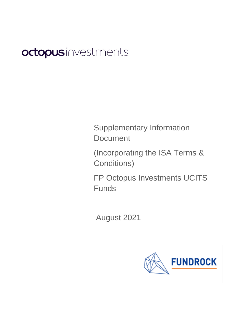# octopusinvestments

Supplementary Information **Document** 

(Incorporating the ISA Terms & Conditions)

FP Octopus Investments UCITS Funds

August 2021

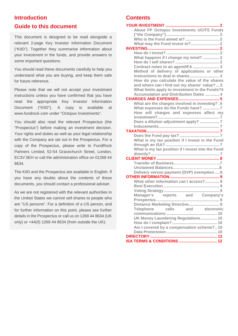# **Introduction**

# **Guide to this document**

This document is designed to be read alongside a relevant 2-page Key Investor Information Document ("KIID"). Together they summarise information about your investment in the funds, and provide answers to some important questions.

You should read these documents carefully to help you understand what you are buying, and keep them safe for future reference.

Please note that we will not accept your investment instructions unless you have confirmed that you have read the appropriate Key Investor Information Document ("KIID"). A copy is available at [www.fundrock.com](http://www.fundpartners.co.uk/) under "Octopus Investments".

You should also read the relevant Prospectus (the "Prospectus") before making an investment decision. Your rights and duties as well as your legal relationship with the Company are set out in the Prospectus. For a copy of the Prospectus, please write to FundRock Partners Limited, 52-54 Gracechurch Street, London, EC3V 0EH or call the administration office on 01268 44 8634.

The KIID and the Prospectus are available in English. If you have any doubts about the contents of these documents, you should contact a professional adviser.

As we are not registered with the relevant authorities in the United States we cannot sell shares to people who are "US persons". For a definition of a US person, and for further information on this point, please see further details in the Prospectus or call us on 1268 44 8634 (UK only) or +44(0) 1268 44 8634 (from outside the UK).

# **Contents**

| About FP Octopus Investments UCITS Funds          |
|---------------------------------------------------|
|                                                   |
|                                                   |
|                                                   |
|                                                   |
|                                                   |
| What happens if I change my mind?  2              |
|                                                   |
| Contract notes to an agent/IFA 3                  |
| Method of delivery of applications or other       |
| instructions to deal in shares3                   |
| How do you calculate the value of the shares      |
| and where can I find out my shares' value?  3     |
| What limits apply to investment in the Funds?4    |
| <b>Accumulation and Distribution Dates  4</b>     |
|                                                   |
| What are the charges involved in investing? . 5   |
| What expenses do the Funds have? 7                |
| How will charges and expenses affect my           |
|                                                   |
| Does a dilution adjustment apply? 7               |
|                                                   |
|                                                   |
|                                                   |
| What is my tax position if I invest in the Fund   |
|                                                   |
| What is my tax position if I invest into the Fund |
|                                                   |
|                                                   |
|                                                   |
|                                                   |
| Delivery versus payment (DVP) exemption  8        |
|                                                   |
| What other information can I access? 9            |
|                                                   |
|                                                   |
| Manager's reports and Company's                   |
|                                                   |
| and electronic<br>calls                           |
| <b>Telephone</b>                                  |
| UK Money Laundering Regulations 10                |
|                                                   |
| Am I covered by a compensation scheme?10          |
|                                                   |
|                                                   |
|                                                   |
|                                                   |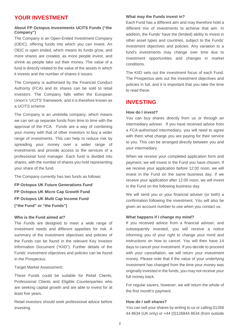# <span id="page-2-0"></span>**YOUR INVESTMENT**

#### <span id="page-2-1"></span>**About FP Octopus Investments UCITS Funds ("the Company")**

The Company is an Open-Ended Investment Company (OEIC), offering funds into which you can invest. An OEIC is open ended, which means its funds grow, and more shares are created, as more people invest, and shrink as people take out their money. The value of a fund is directly related to the value of the assets in which it invests and the number of shares it issues.

The Company is authorised by the Financial Conduct Authority (FCA) and its shares can be sold to retail investors. The Company falls within the European Union's 'UCITS' framework, and it is therefore known as a UCITS scheme.

The Company is an umbrella company, which means we can set up separate funds from time to time with the approval of the FCA. Funds are a way of combining your money with that of other investors to buy a wider range of investments. This can help to reduce risk by spreading your money over a wider range of investments and provide access to the services of a professional fund manager. Each fund is divided into shares, with the number of shares you hold representing your share of the fund.

The Company currently has two funds as follows:

**FP Octopus UK Future Generations Fund FP Octopus UK Micro Cap Growth Fund FP Octopus UK Multi Cap Income Fund ("the Fund" or "the Funds")**

#### <span id="page-2-2"></span>**Who is the Fund aimed at?**

The Funds are designed to meet a wide range of investment needs and different appetites for risk. A summary of the investment objectives and policies of the Funds can be found in the relevant Key Investor Information Document ("KIID"). Further details of the Funds' investment objectives and policies can be found in the Prospectus.

Target Market Assessment:

These Funds could be suitable for Retail Clients, Professional Clients and Eligible Counterparties who are seeking capital growth and are able to invest for at least five years.

Retail investors should seek professional advice before investing.

#### <span id="page-2-3"></span>**What may the Funds invest in?**

Each Fund has a different aim and may therefore hold a different mix of investments to achieve that aim. In addition, the Funds' have the (limited) ability to invest in other asset types and countries, subject to the Funds' investment objectives and policies. Any variation to a fund's investments may change over time due to investment opportunities and changes in market conditions.

The KIID sets out the investment focus of each Fund. The Prospectus sets out the investment objectives and policies in full, and it is important that you take the time to read these.

# <span id="page-2-4"></span>**INVESTING**

#### <span id="page-2-5"></span>**How do I invest?**

You can buy shares directly from us or through an intermediary adviser. If you have received advice from a FCA-authorised intermediary, you will need to agree with them what charge you are paying for their service to you. This can be arranged directly between you and your intermediary.

When we receive your completed application form and payment, we will invest in the Fund you have chosen. If we receive your application before 12:00 noon, we will invest in the Fund on the same business day. If we receive your application after 12:00 noon, we will invest in the Fund on the following business day.

We will send you or your financial adviser (or both) a confirmation following the investment. You will also be given an account number to use when you contact us.

#### <span id="page-2-6"></span>**What happens if I change my mind?**

If you received advice from a financial adviser, and subsequently invested, you will receive a notice informing you of your right to change your mind and instructions on how to cancel. You will then have 14 days to cancel your investment. If you decide to proceed with your cancellation, we will return your investment money. Please note that if the value of your underlying investment has changed from the time your money was originally invested in the funds, you may not receive your full money back.

For regular savers, however, we will return the whole of the first month's payment.

#### <span id="page-2-7"></span>**How do I sell shares?**

You can sell your shares by writing to us or calling 01268 44 8634 (UK only) or +44 (0)126844 8634 (from outside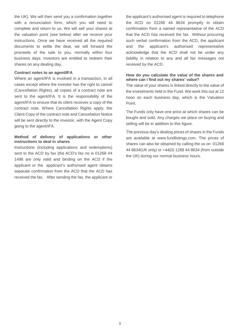the UK). We will then send you a confirmation together with a renunciation form, which you will need to complete and return to us. We will sell your shares at the valuation point (see below) after we receive your instructions. Once we have received all the required documents to settle the deal, we will forward the proceeds of the sale to you, normally within four business days. Investors are entitled to redeem their shares on any dealing day.

#### <span id="page-3-0"></span>**Contract notes to an agent/IFA**

Where an agent/IFA is involved in a transaction, in all cases except where the investor has the right to cancel (Cancellation Rights), all copies of a contract note are sent to the agent/IFA. It is the responsibility of the agent/IFA to ensure that its client receives a copy of the contract note. Where Cancellation Rights apply, the Client Copy of the contract note and Cancellation Notice will be sent directly to the investor, with the Agent Copy going to the agent/IFA.

# <span id="page-3-1"></span>**Method of delivery of applications or other instructions to deal in shares**

Instructions (including applications and redemptions) sent to the ACD by fax (the ACD's fax no is 01268 44 1498 are only valid and binding on the ACD if the applicant or the applicant's authorised agent obtains separate confirmation from the ACD that the ACD has received the fax. After sending the fax, the applicant or

the applicant's authorised agent is required to telephone the ACD on 01268 44 8634 promptly to obtain confirmation from a named representative of the ACD that the ACD has received the fax. Without procuring such verbal confirmation from the ACD, the applicant and the applicant's authorised representative acknowledge that the ACD shall not be under any liability in relation to any and all fax messages not received by the ACD.

#### <span id="page-3-2"></span>**How do you calculate the value of the shares and where can I find out my shares' value?**

The value of your shares is linked directly to the value of the investments held in the Fund. We work this out at 12 noon on each business day, which is the Valuation Point.

The Funds only have one price at which shares can be bought and sold. Any charges we place on buying and selling will be in addition to this figure.

The previous day's dealing prices of shares in the Funds are available at www.fundlistings.com. The prices of shares can also be obtained by calling the us on 01268 44 8634(UK only) or +44(0) 1268 44 8634 (from outside the UK) during our normal business hours.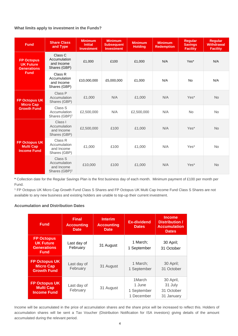# <span id="page-4-0"></span>**What limits apply to investment in the Funds?**

| <b>Fund</b>                                                                | <b>Share Class</b><br>and Type                                     | <b>Minimum</b><br><b>Initial</b><br><b>Investment</b> | <b>Minimum</b><br><b>Subsequent</b><br><b>Investment</b> | <b>Minimum</b><br><b>Holding</b> | <b>Minimum</b><br><b>Redemption</b> | <b>Regular</b><br><b>Savings</b><br><b>Facility</b> | <b>Regular</b><br><b>Withdrawal</b><br><b>Facility</b> |
|----------------------------------------------------------------------------|--------------------------------------------------------------------|-------------------------------------------------------|----------------------------------------------------------|----------------------------------|-------------------------------------|-----------------------------------------------------|--------------------------------------------------------|
| <b>FP Octopus</b><br><b>UK Future</b><br><b>Generations</b><br><b>Fund</b> | Class C<br>Accumulation<br>and Income<br>Shares (GBP)              | £1,000                                                | £100                                                     | £1,000                           | N/A                                 | Yes*                                                | N/A                                                    |
|                                                                            | Class R<br>Accumulation<br>and Income<br>Shares (GBP)              | £10,000,000                                           | £5,000,000                                               | £1,000                           | N/A                                 | <b>No</b>                                           | N/A                                                    |
| <b>FP Octopus UK</b><br><b>Micro Cap</b><br><b>Growth Fund</b>             | Class P<br>Accumulation<br>Shares (GBP)                            | £1,000                                                | N/A                                                      | £1,000                           | N/A                                 | Yes*                                                | <b>No</b>                                              |
|                                                                            | Class S<br>Accumulation<br>Shares (GBP) <sup>1</sup>               | £2,500,000                                            | N/A                                                      | £2,500,000                       | N/A                                 | <b>No</b>                                           | <b>No</b>                                              |
| <b>FP Octopus UK</b><br><b>Multi Cap</b><br><b>Income Fund</b>             | Class I<br>Accumulation<br>and Income<br>Shares (GBP)              | £2,500,000                                            | £100                                                     | £1,000                           | N/A                                 | Yes*                                                | <b>No</b>                                              |
|                                                                            | Class R<br>Accumulation<br>and Income<br>Shares (GBP)              | £1,000                                                | £100                                                     | £1,000                           | N/A                                 | Yes*                                                | <b>No</b>                                              |
|                                                                            | Class S<br>Accumulation<br>and Income<br>Shares (GBP) <sup>1</sup> | £10,000                                               | £100                                                     | £1,000                           | N/A                                 | Yes*                                                | <b>No</b>                                              |

**\*** Collection date for the Regular Savings Plan is the first business day of each month. Minimum payment of £100 per month per Fund.

<sup>1</sup> FP Octopus UK Micro Cap Growth Fund Class S Shares and FP Octopus UK Multi Cap Income Fund Class S Shares are not available to any new business and existing holders are unable to top-up their current investment.

## <span id="page-4-1"></span>**Accumulation and Distribution Dates**

| <b>Fund</b>                                                                | <b>Final</b><br><b>Accounting</b><br><b>Date</b> | <b>Interim</b><br><b>Accounting</b><br><b>Date</b> | <b>Ex-dividend</b><br><b>Dates</b>            | <b>Income</b><br>Distribution /<br><b>Accumulation</b><br><b>Dates</b> |
|----------------------------------------------------------------------------|--------------------------------------------------|----------------------------------------------------|-----------------------------------------------|------------------------------------------------------------------------|
| <b>FP Octopus</b><br><b>UK Future</b><br><b>Generations</b><br><b>Fund</b> | Last day of<br>February                          | 31 August                                          | 1 March;<br>1 September                       | 30 April;<br>31 October                                                |
| <b>FP Octopus UK</b><br><b>Micro Cap</b><br><b>Growth Fund</b>             | Last day of<br>February                          | 31 August                                          | 1 March:<br>1 September                       | 30 April;<br>31 October                                                |
| <b>FP Octopus UK</b><br><b>Multi Cap</b><br><b>Income Fund</b>             | Last day of<br>February                          | 31 August                                          | 1March<br>1 June<br>1 September<br>1 December | 30 April,<br>31 July<br>31 October<br>31 January                       |

Income will be accumulated in the price of accumulation shares and the share price will be increased to reflect this. Holders of accumulation shares will be sent a Tax Voucher (Distribution Notification for ISA investors) giving details of the amount accumulated during the relevant period.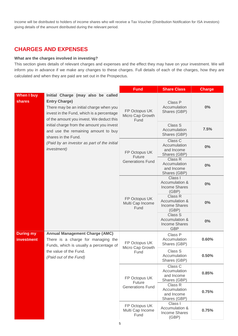Income will be distributed to holders of income shares who will receive a Tax Voucher (Distribution Notification for ISA investors) giving details of the amount distributed during the relevant period.

# <span id="page-5-0"></span>**CHARGES AND EXPENSES**

#### <span id="page-5-1"></span>**What are the charges involved in investing?**

This section gives details of relevant charges and expenses and the effect they may have on your investment. We will inform you in advance if we make any changes to these charges. Full details of each of the charges, how they are calculated and when they are paid are set out in the Prospectus.

|                                       |                                                                                                                                                                                                                                                                                                                                                                                 | <b>Fund</b>                                        | <b>Share Class</b>                                              | <b>Charge</b> |
|---------------------------------------|---------------------------------------------------------------------------------------------------------------------------------------------------------------------------------------------------------------------------------------------------------------------------------------------------------------------------------------------------------------------------------|----------------------------------------------------|-----------------------------------------------------------------|---------------|
| <b>When I buy</b><br><b>shares</b>    | Initial Charge (may also be called<br><b>Entry Charge)</b><br>There may be an initial charge when you<br>invest in the Fund, which is a percentage<br>of the amount you invest. We deduct this<br>initial charge from the amount you invest<br>and use the remaining amount to buy<br>shares in the Fund.<br>(Paid by an investor as part of the initial<br><i>investment</i> ) | FP Octopus UK<br>Micro Cap Growth<br>Fund          | Class P<br>Accumulation<br>Shares (GBP)                         | $0\%$         |
|                                       |                                                                                                                                                                                                                                                                                                                                                                                 |                                                    | Class S<br>Accumulation<br>Shares (GBP)                         | 7.5%          |
|                                       |                                                                                                                                                                                                                                                                                                                                                                                 | FP Octopus UK<br>Future<br><b>Generations Fund</b> | Class C<br>Accumulation<br>and Income<br>Shares (GBP)           | 0%            |
|                                       |                                                                                                                                                                                                                                                                                                                                                                                 |                                                    | Class R<br>Accumulation<br>and Income<br>Shares (GBP)           | 0%            |
|                                       |                                                                                                                                                                                                                                                                                                                                                                                 | FP Octopus UK<br>Multi Cap Income<br>Fund          | Class I<br>Accumulation &<br><b>Income Shares</b><br>(GBP)      | 0%            |
|                                       |                                                                                                                                                                                                                                                                                                                                                                                 |                                                    | Class R<br>Accumulation &<br><b>Income Shares</b><br>(GBP)      | 0%            |
|                                       |                                                                                                                                                                                                                                                                                                                                                                                 |                                                    | Class S<br>Accumulation &<br><b>Income Shares</b><br><b>GBP</b> | 0%            |
| <b>During my</b><br><b>investment</b> | <b>Annual Management Charge (AMC)</b><br>There is a charge for managing the<br>Funds, which is usually a percentage of                                                                                                                                                                                                                                                          | FP Octopus UK<br>Micro Cap Growth<br>Fund          | Class P<br>Accumulation<br>Shares (GBP)                         | 0.60%         |
|                                       | the value of the Fund.<br>(Paid out of the Fund)                                                                                                                                                                                                                                                                                                                                |                                                    | Class S<br>Accumulation<br>Shares (GBP)                         | 0.50%         |
|                                       |                                                                                                                                                                                                                                                                                                                                                                                 | FP Octopus UK<br>Future<br><b>Generations Fund</b> | Class C<br>Accumulation<br>and Income<br>Shares (GBP)           | 0.85%         |
|                                       |                                                                                                                                                                                                                                                                                                                                                                                 |                                                    | Class R<br>Accumulation<br>and Income<br>Shares (GBP)           | 0.75%         |
|                                       |                                                                                                                                                                                                                                                                                                                                                                                 | FP Octopus UK<br>Multi Cap Income<br>Fund          | Class I<br>Accumulation &<br><b>Income Shares</b><br>(GBP)      | 0.75%         |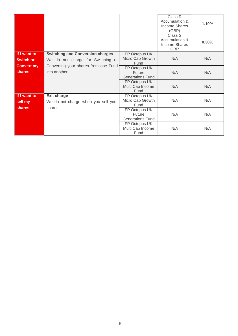|                                          |                                                                                                                                       |                                                           | Class R<br>Accumulation &<br><b>Income Shares</b><br>(GBP)<br>Class S<br>Accumulation &<br><b>Income Shares</b> | 1.10%<br>0.30% |
|------------------------------------------|---------------------------------------------------------------------------------------------------------------------------------------|-----------------------------------------------------------|-----------------------------------------------------------------------------------------------------------------|----------------|
|                                          |                                                                                                                                       |                                                           | <b>GBP</b>                                                                                                      |                |
| If I want to<br><b>Switch or</b>         | <b>Switching and Conversion charges</b><br>We do not charge for Switching or<br>Converting your shares from one Fund<br>into another. | FP Octopus UK<br>Micro Cap Growth<br>Fund                 | N/A                                                                                                             | N/A            |
| <b>Convert my</b><br><b>shares</b>       |                                                                                                                                       | FP Octopus UK<br><b>Future</b><br><b>Generations Fund</b> | N/A                                                                                                             | N/A            |
|                                          |                                                                                                                                       | FP Octopus UK<br>Multi Cap Income<br>Fund                 | N/A                                                                                                             | N/A            |
| If I want to<br>sell my<br><b>shares</b> | <b>Exit charge</b><br>We do not charge when you sell your<br>shares.                                                                  | FP Octopus UK<br>Micro Cap Growth<br>Fund                 | N/A                                                                                                             | N/A            |
|                                          |                                                                                                                                       | FP Octopus UK<br>Future<br><b>Generations Fund</b>        | N/A                                                                                                             | N/A            |
|                                          |                                                                                                                                       | FP Octopus UK<br>Multi Cap Income<br>Fund                 | N/A                                                                                                             | N/A            |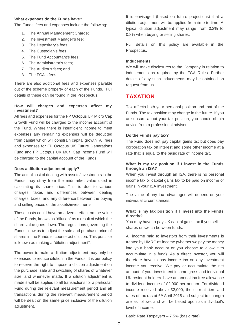#### <span id="page-7-0"></span>**What expenses do the Funds have?**

The Funds' fees and expenses include the following:

- 1. The Annual Management Charge;
- 2. The Investment Manager's fee;
- 3. The Depositary's fees;
- 4. The Custodian's fees;
- 5. The Fund Accountant's fees;
- 6. The Administrator's fees;
- 7. The Auditor's fees; and
- 8. The FCA's fees.

There are also additional fees and expenses payable out of the scheme property of each of the Funds. Full details of these can be found in the Prospectus.

## <span id="page-7-1"></span>**How will charges and expenses affect my investment?**

All fees and expenses for the FP Octopus UK Micro Cap Growth Fund will be charged to the income account of the Fund. Where there is insufficient income to meet expenses any remaining expenses will be deducted from capital which will constrain capital growth. All fees and expenses for FP Octopus UK Future Generations Fund and FP Octopus UK Multi Cap Income Fund will be charged to the capital account of the Funds.

#### <span id="page-7-2"></span>**Does a dilution adjustment apply?**

The actual cost of dealing with assets/investments in the Funds may stray from the midmarket value used in calculating its share price. This is due to various charges, taxes and differences between dealing charges, taxes, and any difference between the buying and selling prices of the assets/investments.

These costs could have an adverse effect on the value of the Funds, known as "dilution" as a result of which the share value goes down. The regulations governing the Funds allow us to adjust the sale and purchase price of shares in the Funds to counteract dilution. This practise is known as making a "dilution adjustment".

The power to make a dilution adjustment may only be exercised to reduce dilution in the Funds. It is our policy to reserve the right to impose a dilution adjustment on the purchase, sale and switching of shares of whatever size, and whenever made. If a dilution adjustment is made it will be applied to all transactions for a particular Fund during the relevant measurement period and all transactions during the relevant measurement period will be dealt on the same price inclusive of the dilution adjustment.

It is envisaged (based on future projections) that a dilution adjustment will be applied from time to time. A typical dilution adjustment may range from 0.2% to 0.8% when buying or selling shares.

Full details on this policy are available in the Prospectus.

#### <span id="page-7-3"></span>**Inducements**

We will make disclosures to the Company in relation to inducements as required by the FCA Rules. Further details of any such inducements may be obtained on request from us.

# <span id="page-7-4"></span>**TAXATION**

Tax affects both your personal position and that of the Funds. The tax position may change in the future. If you are unsure about your tax position, you should obtain advice from a professional adviser.

#### <span id="page-7-5"></span>**Do the Funds pay tax?**

The Fund does not pay capital gains tax but does pay corporation tax on interest and some other income at a rate that is equal to the basic rate of income tax.

#### <span id="page-7-6"></span>**What is my tax position if I invest in the Funds through an ISA?**

When you invest through an ISA, there is no personal income tax or capital gains tax to be paid on income or gains in your ISA investment.

The value of any tax advantages will depend on your individual circumstances.

#### <span id="page-7-7"></span>**What is my tax position if I invest into the Funds directly?**

You may have to pay UK capital gains tax if you sell shares or switch between funds.

All income paid to investors from their investments is treated by HMRC as income (whether we pay the money into your bank account or you choose to allow it to accumulate in a fund). As a direct investor, you will therefore have to pay income tax on any investment income you receive. We pay or accumulate the net amount of your investment income gross and individual UK resident holders have an annual tax free allowance to dividend income of £2,000 per annum. For dividend income received above £2,000, the current tiers and rates of tax (as at  $6<sup>th</sup>$  April 2018 and subject to change) are as follows and will be based upon as individual's level of income:

Basic Rate Taxpayers – 7.5% (basic rate)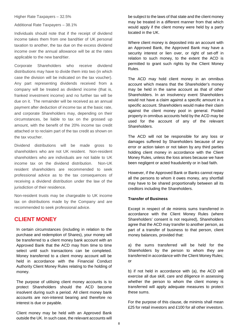Additional Rate Taxpayers – 38.1%

Individuals should note that if the receipt of dividend income takes them from one band/tier of UK personal taxation to another, the tax due on the excess dividend income over the annual allowance will be at the rates applicable to the new band/tier.

Corporate Shareholders who receive dividend distributions may have to divide them into two (in which case the division will be indicated on the tax voucher). Any part representing dividends received from a company will be treated as dividend income (that is, franked investment income) and no further tax will be due on it. The remainder will be received as an annual payment after deduction of income tax at the basic rate, and corporate Shareholders may, depending on their circumstances, be liable to tax on the grossed up amount, with the benefit of the 20% income tax credit attached or to reclaim part of the tax credit as shown on the tax voucher.

Dividend distributions will be made gross to shareholders who are not UK resident. Non-resident shareholders who are individuals are not liable to UK income tax on the dividend distribution. Non-UK resident shareholders are recommended to seek professional advice as to the tax consequences of receiving a dividend distribution under the law of the jurisdiction of their residence.

Non-resident trusts may be chargeable to UK income tax on distributions made by the Company and are recommended to seek professional advice.

# <span id="page-8-0"></span>**CLIENT MONEY**

<span id="page-8-1"></span>In certain circumstances (including in relation to the purchase and redemption of Shares), your money will be transferred to a client money bank account with an Approved Bank that the ACD may from time to time select until such transactions can be completed. Money transferred to a client money account will be held in accordance with the Financial Conduct Authority Client Money Rules relating to the holding of money.

The purpose of utilising client money accounts is to protect Shareholders should the ACD become insolvent during such a period. All client money bank accounts are non-interest bearing and therefore no interest is due or payable.

Client money may be held with an Approved Bank outside the UK. In such case, the relevant accounts will be subject to the laws of that state and the client money may be treated in a different manner from that which would apply if the client money were held by a party located in the UK.

Where client money is deposited into an account with an Approved Bank, the Approved Bank may have a security interest or lien over, or right of set-off in relation to such money, to the extent the ACD is permitted to grant such rights by the Client Money Rules.

The ACD may hold client money in an omnibus account which means that the Shareholder's money may be held in the same account as that of other Shareholders. In an insolvency event Shareholders would not have a claim against a specific amount in a specific account. Shareholders would make their claim against the client money pool in general. Pooled property in omnibus accounts held by the ACD may be used for the account of any of the relevant Shareholders.

The ACD will not be responsible for any loss or damages suffered by Shareholders because of any error or action taken or not taken by any third parties holding client money in accordance with the Client Money Rules, unless the loss arises because we have been negligent or acted fraudulently or in bad faith.

However, if the Approved Bank or Banks cannot repay all the persons to whom it owes money, any shortfall may have to be shared proportionally between all its creditors including the Shareholders.

## **Transfer of Business**

Except in respect of de minimis sums transferred in accordance with the Client Money Rules (where Shareholders' consent is not required), Shareholders agree that the ACD may transfer to another person, as part of a transfer of business to that person, client money balances, provided that:

a) the sums transferred will be held for the Shareholders by the person to whom they are transferred in accordance with the Client Money Rules; or

b) if not held in accordance with (a), the ACD will exercise all due skill, care and diligence in assessing whether the person to whom the client money is transferred will apply adequate measures to protect these sums.

For the purpose of this clause, de minimis shall mean £25 for retail investors and £100 for all other investors.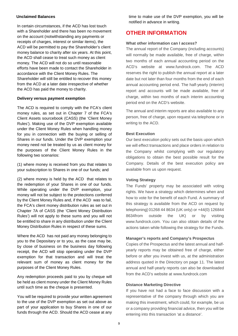#### **Unclaimed Balances**

In certain circumstances, if the ACD has lost touch with a Shareholder and there has been no movement on the account (notwithstanding any payments or receipts of charges, interest or similar items), the ACD will be permitted to pay the Shareholder's client money balance to charity after six years. At this point, the ACD shall cease to treat such money as client money. The ACD will not do so until reasonable efforts have been made to contact the Shareholder in accordance with the Client Money Rules. The Shareholder will still be entitled to recover this money from the ACD at a later date irrespective of whether the ACD has paid the money to charity.

#### **Delivery versus payment exemption**

The ACD is required to comply with the FCA's client money rules, as set out in Chapter 7 of the FCA's Client Assets sourcebook (CASS) (the 'Client Money Rules'). Making use of the DVP exemption available under the Client Money Rules when handling money for you in connection with the buying or selling of Shares in our funds. Under the DVP exemption your money need not be treated by us as client money for the purposes of the Client Money Rules in the following two scenarios:

(1) where money is received from you that relates to your subscription to Shares in one of our funds; and

(2) where money is held by the ACD that relates to the redemption of your Shares in one of our funds. While operating under the DVP exemption, your money will not be subject to the protections conferred by the Client Money Rules and, if the ACD was to fail, the FCA's client money distribution rules as set out in Chapter 7A of CASS (the 'Client Money Distribution Rules') will not apply to these sums and you will not be entitled to share in any distribution under the Client Money Distribution Rules in respect of these sums.

Where the ACD has not paid any money belonging to you to the Depositary or to you, as the case may be, by close of business on the business day following receipt, the ACD will stop operating under the DVP exemption for that transaction and will treat the relevant sum of money as client money for the purposes of the Client Money Rules.

Any redemption proceeds paid to you by cheque will be held as client money under the Client Money Rules until such time as the cheque is presented.

You will be required to provide your written agreement to the use of the DVP exemption as set out above as part of your application to buy Shares in one of our funds through the ACD. Should the ACD cease at any time to make use of the DVP exemption, you will be notified in advance in writing.

# <span id="page-9-0"></span>**OTHER INFORMATION**

## <span id="page-9-1"></span>**What other information can I access?**

The annual report of the Company (including accounts) will normally be made available, free of charge, within two months of each annual accounting period on the ACD's website at [www.fundrock.com.](http://www.fundpartners.co.uk/) The ACD reserves the right to publish the annual report at a later date but not later than four months from the end of each annual accounting period end. The half-yearly (interim) report and accounts will be made available, free of charge, within two months of each interim accounting period end on the ACD's website.

The annual and interim reports are also available to any person, free of charge, upon request via telephone or in writing to the ACD.

#### <span id="page-9-2"></span>**Best Execution**

Our best execution policy sets out the basis upon which we will effect transactions and place orders in relation to the Company whilst complying with our regulatory obligations to obtain the best possible result for the Company. Details of the best execution policy are available from us upon request.

#### <span id="page-9-3"></span>**Voting Strategy**

The Funds' property may be associated with voting rights. We have a strategy which determines when and how to vote for the benefit of each Fund. A summary of this strategy is available from the ACD on request by telephoning] 01268 44 8634 (UK only) or +44(0) 126844 8634from outside the UK) or by visiting www.fundrock.com. You can also obtain details of the actions taken while following the strategy for the Funds.

#### <span id="page-9-4"></span>**Manager's reports and Company's Prospectus**

Copies of the Prospectus and the latest annual and halfyearly reports may be obtained free of charge, either before or after you invest with us, at the administration address quoted in the Directory on page 11. The latest annual and half-yearly reports can also be downloaded from the ACD's website at [www.fundrock.com](http://www.fundrock.com/)

#### <span id="page-9-5"></span>**Distance Marketing Directive**

If you have not had a face to face discussion with a representative of the company through which you are making this investment, which could, for example, be us or a company providing financial advice, then you will be entering into this transaction 'at a distance'.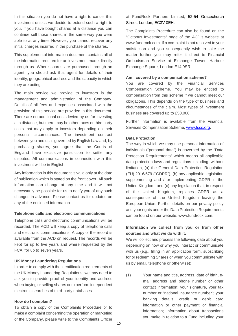In this situation you do not have a right to cancel this investment unless we decide to extend such a right to you. If you have bought shares at a distance you can continue sell those shares, in the same way you were able to at any time. However, you cannot recover any initial charges incurred in the purchase of the shares.

This supplemental information document contains all of the information required for an investment made directly through us. Where shares are purchased through an agent, you should ask that agent for details of their identity, geographical address and the capacity in which they are acting.

The main service we provide to investors is the management and administration of the Company. Details of all fees and expenses associated with the provision of this service are provided in this document. There are no additional costs levied by us for investing at a distance, but there may be other taxes or third party costs that may apply to investors depending on their personal circumstances. The investment contract between you and us is governed by English Law and, by purchasing shares, you agree that the Courts of England have exclusive jurisdiction to settle any disputes. All communications in connection with this investment will be in English.

Any information in this document is valid only at the date of publication which is stated on the front cover. All such information can change at any time and it will not necessarily be possible for us to notify you of any such changes in advance. Please contact us for updates on any of the enclosed information.

#### <span id="page-10-0"></span>**Telephone calls and electronic communications**

Telephone calls and electronic communications will be recorded. The ACD will keep a copy of telephone calls and electronic communications. A copy of the record is available from the ACD on request. The records will be kept for up to five years and where requested by the FCA, for up to seven years.

#### <span id="page-10-1"></span>**UK Money Laundering Regulations**

In order to comply with the identification requirements of the UK Money Laundering Regulations, we may need to ask you to provide proof of your identity and address when buying or selling shares or to perform independent electronic searches of third-party databases.

#### <span id="page-10-2"></span>**How do I complain?**

To obtain a copy of the Complaints Procedure or to make a complaint concerning the operation or marketing of the Company, please write to the Complaints Officer at FundRock Partners Limited, 52-54 Gracechurch Street, London, EC3V 0EH.

The Complaints Procedure can also be found on the "Octopus Investments" page of the ACD's website at www.fundrock.com. If a complaint is not resolved to your satisfaction and you subsequently wish to take the matter further you may refer it direct to Financial Ombudsman Service at Exchange Tower, Harbour Exchange Square, London E14 9SR.

#### <span id="page-10-3"></span>**Am I covered by a compensation scheme?**

You are covered by the Financial Services Compensation Scheme. You may be entitled to compensation from this scheme if we cannot meet our obligations. This depends on the type of business and circumstances of the claim. Most types of investment business are covered up to £50,000.

Further information is available from the Financial Services Compensation Scheme, [www.fscs.org.](http://www.fscs.org/)

#### <span id="page-10-4"></span>**Data Protection**

The way in which we may use personal information of individuals ("personal data") is governed by the "Data Protection Requirements" which means all applicable data protection laws and regulations including, without limitation, (a) the General Data Protection Regulation (EU) 2016/679 ("GDPR"), (b) any applicable legislation supplementing and / or implementing GDPR in the United Kingdom, and (c) any legislation that, in respect of the United Kingdom, replaces GDPR as a consequence of the United Kingdom leaving the European Union. Further details on our privacy policy and your rights under the Data Protection Requirements can be found on our website: www.fundrock.com.

# **Information we collect from you or from other sources and what we do with it:**

We will collect and process the following data about you depending on how or why you interact or communicate with us (e.g., filling in an application form, subscribing for or redeeming Shares or when you communicate with us by email, telephone or otherwise):

(1) Your name and title, address, date of birth, email address and phone number or other contact information; your signature, your tax number or "national insurance number"; your banking details, credit or debit card information or other payment or financial information; information about transactions you make in relation to a Fund including your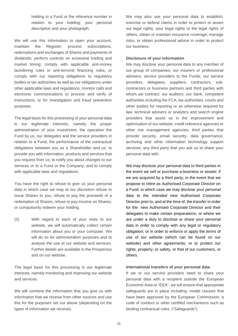holding in a Fund or the reference number in relation to your holding; your personal description and your photograph.

We will use this information to open your account, maintain the Register; process subscriptions, redemptions and exchanges of Shares and payments of dividends; perform controls on excessive trading and market timing; comply with applicable anti-money laundering rules or anti-terrorist financing rules; or comply with our reporting obligations to regulatory bodies or tax authorities as well as our obligations under other applicable laws and regulations, monitor calls and electronic communications to process and verify of instructions, or for investigation and fraud prevention purposes.

The legal basis for this processing of your personal data is our legitimate interests, namely the proper administration of your investment, the operation the Fund by us, our delegates and the service providers in relation to a Fund; the performance of the contractual obligations between you as a Shareholder and us; to provide you with information, products and services that you request from us; to notify you about changes to our services or to a Fund or the Company; and to comply with applicable laws and regulations.

You have the right to refuse to give us your personal data in which case we may at our discretion refuse to issue Shares to you; refuse to pay the proceeds of a redemption of Shares; refuse to pay income on Shares; or compulsorily redeem your holding.

(2) With regard to each of your visits to our website, we will automatically collect certain information about you or your computer. We will do so for administration purposes and to analyse the use of our website and services. Further details are available in the Prospectus and on our website.

The legal basis for this processing is our legitimate interests, namely monitoring and improving our website and services.

We will combine the information that you give us with information that we receive from other sources and use this for the purposes set out above (depending on the types of information we receive).

We may also use your personal data to establish. exercise or defend claims in order to protect or assert our legal rights, your legal rights or the legal rights of others, obtain or maintain insurance coverage, manage risks, or obtain professional advice in order to protect our business.

#### **Disclosure of your information**

We may disclose your personal data to any member of our group of companies; our insurers or professional advisers; service providers to the Funds; our service providers, delegates, suppliers, contractors, subcontractors or business partners and third parties with whom we contract; our auditors, our bank, competent authorities including the FCA, tax authorities, courts and other bodies for reporting or as otherwise required by law; technical advisers or analytics and search engine providers that assist us in the improvement and optimisation of our website; credit reference agencies or other risk management agencies; third parties that provide security, email security, data governance, archiving and other information technology support services; any third party that you ask us to share your personal data with.

We may disclose your personal data to third parties in the event we sell or purchase a business or assets; if we are acquired by a third party; in the event that we propose to retire as Authorised Corporate Director on a Fund, in which case we may disclose your personal data to the intended new Authorised Corporate Director prior to, and at the time of, the transfer in order for the new Authorised Corporate Director and their delegates to make certain preparations; or where we are under a duty to disclose or share your personal data in order to comply with any legal or regulatory obligation; or in order to enforce or apply the terms of use of our website (which can be found on our website) and other agreements; or to protect our rights, property, or safety, or that of our customers, or others.

#### **International transfers of your personal data**

If we or our service providers need to share your personal data with a recipient outside the European Economic Area or "EEA", we will ensure that appropriate safeguards are in place including: model clauses that have been approved by the European Commission; a code of conduct or other certified mechanisms such as binding contractual rules. ("Safeguards").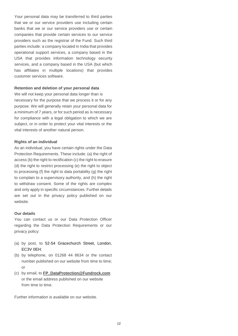Your personal data may be transferred to third parties that we or our service providers use including certain banks that we or our service providers use or certain companies that provide certain services to our service providers such as the registrar of the Fund. Such third parties include: a company located in India that provides operational support services, a company based in the USA that provides information technology security services, and a company based in the USA (but which has affiliates in multiple locations) that provides customer services software.

#### **Retention and deletion of your personal data**

We will not keep your personal data longer than is necessary for the purpose that we process it or for any purpose. We will generally retain your personal data for a minimum of 7 years, or for such period as is necessary for compliance with a legal obligation to which we are subject, or in order to protect your vital interests or the vital interests of another natural person.

#### **Rights of an individual**

As an individual, you have certain rights under the Data Protection Requirements. These include: (a) the right of access (b) the right to rectification (c) the right to erasure (d) the right to restrict processing (e) the right to object to processing (f) the right to data portability (g) the right to complain to a supervisory authority, and (h) the right to withdraw consent. Some of the rights are complex and only apply in specific circumstances. Further details are set out in the privacy policy published on our website.

## **Our details**

You can contact us or our Data Protection Officer regarding the Data Protection Requirements or our privacy policy:

- (a) by post, to 52-54 Gracechurch Street, London, EC3V 0EH;
- (b) by telephone, on 01268 44 8634 or the contact number published on our website from time to time; or
- (c) by email, to **[FP\\_DataProtection@Fundrock.com](mailto:FP_DataProtection@Fundrock.com)** or the email address published on our website from time to time.

Further information is available on our website.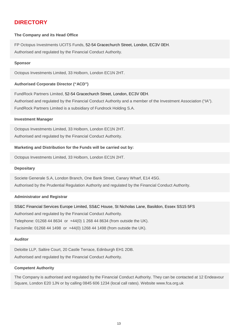# <span id="page-13-0"></span>**DIRECTORY**

## **The Company and its Head Office**

FP Octopus Investments UCITS Funds, 52-54 Gracechurch Street, London, EC3V 0EH. Authorised and regulated by the Financial Conduct Authority.

## **Sponsor**

Octopus Investments Limited, 33 Holborn, London EC1N 2HT.

# **Authorised Corporate Director ("ACD")**

FundRock Partners Limited, 52-54 Gracechurch Street, London, EC3V 0EH. Authorised and regulated by the Financial Conduct Authority and a member of the Investment Association ("IA"). FundRock Partners Limited is a subsidiary of Fundrock Holding S.A.

## **Investment Manager**

Octopus Investments Limited, 33 Holborn, London EC1N 2HT. Authorised and regulated by the Financial Conduct Authority.

# **Marketing and Distribution for the Funds will be carried out by:**

Octopus Investments Limited, 33 Holborn, London EC1N 2HT.

#### **Depositary**

Societe Generale S.A, London Branch, One Bank Street, Canary Wharf, E14 4SG. Authorised by the Prudential Regulation Authority and regulated by the Financial Conduct Authority.

## **Administrator and Registrar**

SS&C Financial Services Europe Limited, SS&C House, St Nicholas Lane, Basildon, Essex SS15 5FS Authorised and regulated by the Financial Conduct Authority. Telephone: 01268 44 8634 or +44(0) 1 268 44 8634 (from outside the UK). Facisimile: 01268 44 1498 or +44(0) 1268 44 1498 (from outside the UK).

# **Auditor**

Deloitte LLP, Saltire Court, 20 Castle Terrace, Edinburgh EH1 2DB. Authorised and regulated by the Financial Conduct Authority.

# **Competent Authority**

The Company is authorised and regulated by the Financial Conduct Authority. They can be contacted at 12 Endeavour Square, London E20 1JN or by calling 0845 606 1234 (local call rates). Website www.fca.org.uk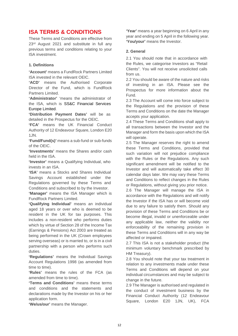# <span id="page-14-0"></span>**ISA TERMS & CONDITIONS**

These Terms and Conditions are effective from 23<sup>rd</sup> August 2021 and substitute in full any previous terms and conditions relating to your ISA investment.

## **1. Definitions**

**'Account'** means a FundRock Partners Limited ISA invested in the relevant OEIC.

**'ACD'** means the Authorised Corporate Director of the Fund, which is FundRock Partners Limited.

**'Administrator'** 'means the administrator of the ISA, which is SS&C Financial Services Europe Limited.

**'Distribution Payment Dates'** will be as detailed in the Prospectus for the OEIC.

**'FCA'** means the UK Financial Conduct Authority of 12 Endeavour Square, London E20 1JN.

**'Fund/Fund(s)'** means a sub-fund or sub-funds of the OEIC.

**'Investments'** means the Shares and/or cash held in the ISA.

**'Investor'** means a Qualifying Individual, who invests in an ISA.

**'ISA'** means a Stocks and Shares Individual Savings Account established under the Regulations governed by these Terms and Conditions and subscribed to by the Investor.

**'Manager'** means the ISA Manager which is FundRock Partners Limited.

**'Qualifying Individual'** means an individual aged 18 years or over who is deemed to be resident in the UK for tax purposes. This includes a non-resident who performs duties which by virtue of Section 28 of the Income Tax (Earnings & Pensions) Act 2003 are treated as being performed in the UK (Crown employees serving overseas) or is married to, or is in a civil partnership with a person who performs such duties.

**'Regulations'** means the Individual Savings Account Regulations 1998 (as amended from time to time).

**'Rules'** means the rules of the FCA (as amended from time to time).

**'Terms and Conditions'** means these terms and conditions and the statements and declarations made by the Investor on his or her application form.

**'We/us/our'** means the Manager.

**'Year'** means a year beginning on 6 April in any year and ending on 5 April in the following year. **'You/your'** means the Investor.

# **2. General**

2.1 You should note that in accordance with the Rules, we categorise Investors as "Retail Clients". You will not receive unsolicited calls from us.

2.2 You should be aware of the nature and risks of investing in an ISA. Please see the Prospectus for more information about the Fund.

2.3 The Account will come into force subject to the Regulations and the provision of these Terms and Conditions on the date the Manager accepts your application.

2.4 These Terms and Conditions shall apply to all transactions between the Investor and the Manager and form the basis upon which the ISA will operate.

2.5 The Manager reserves the right to amend these Terms and Conditions, provided that such variation will not prejudice compliance with the Rules or the Regulations. Any such significant amendment will be notified to the Investor and will automatically take effect 30 calendar days later. We may vary these Terms and Conditions to reflect changes in the Rules or Regulations, without giving you prior notice.

2.6 The Manager will manage the ISA in accordance with the Regulations and will notify the Investor if the ISA has or will become void due to any failure to satisfy them. Should any provision of these Terms and Conditions be or become illegal, invalid or unenforceable under any applicable law, neither the validity nor enforceability of the remaining provision in these Terms and Conditions will in any way be affected or impaired.

2.7 This ISA is not a stakeholder product (the minimum voluntary benchmark prescribed by HM Treasury).

2.8 You should note that your tax treatment in relation to any investments made under these Terms and Conditions will depend on your individual circumstances and may be subject to change in the future.

2.9 The Manager is authorised and regulated in the conduct of investment business by the Financial Conduct Authority (12 Endeavour Square, London E20 1JN, UK), FCA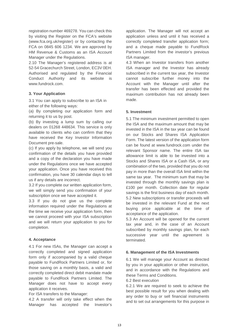registration number 469278. You can check this by visiting the Register on the FCA's website (www.fca.org.uk/register) or by contacting the FCA on 0845 606 1234. We are approved by HM Revenue & Customs as an ISA Account Manager under the Regulations.

2.10 The Manager's registered address is at 52-54 Gracechurch Street, London, EC3V 0EH. Authorised and regulated by the Financial Conduct Authority and its website is [www.fundrock.com.](http://www.fundpartners.co.uk/)

# **3. Your Application**

3.1 You can apply to subscribe to an ISA in either of the following ways:

(a) By completing our application form and returning it to us by post.

(b) By investing a lump sum by calling our dealers on 01268 448634. This service is only available to clients who can confirm that they have received the Key Investor Information Document pre-sale.

(c) If you apply by telephone, we will send you confirmation of the details you have provided and a copy of the declaration you have made under the Regulations once we have accepted your application. Once you have received this confirmation, you have 30 calendar days to tell us if any details are incorrect.

3.2 If you complete our written application form, we will simply send you confirmation of your subscription once we have accepted it.

3.3 If you do not give us the complete information required under the Regulations at the time we receive your application form, then we cannot proceed with your ISA subscription and we will return your application to you for completion.

## **4. Acceptance**

4.1 For new ISAs, the Manager can accept a correctly completed and signed application form only if accompanied by a valid cheque payable to FundRock Partners Limited or, for those saving on a monthly basis, a valid and correctly completed direct debit mandate made payable to FundRock Partners Limited. The Manager does not have to accept every application it receives.

For ISA transfers to the Manager:

4.2 A transfer will only take effect when the Manager has accepted the Investor's application. The Manager will not accept an application unless and until it has received a correctly completed transfer application form; and a cheque made payable to FundRock Partners Limited from the investor's previous ISA manager.

4.3 When an Investor transfers from another ISA manager and the Investor has already subscribed in the current tax year, the Investor cannot subscribe further money into the Account with the Manager until after the transfer has been effected and provided the maximum contribution has not already been made.

## **5. Investment**

5.1 The minimum investment permitted to open the ISA and the maximum amount that may be invested in the ISA in the tax year can be found on our Stocks and Shares ISA Application Form. The latest version of the application form can be found at [www.fundrock.com](http://www.fundpartners.co.uk/) under the relevant Sponsor name. The entire ISA tax allowance limit is able to be invested into a Stocks and Shares ISA or a Cash ISA, or any combination of the two, provided that you do not pay in more than the overall ISA limit within the same tax year. The minimum sum that may be invested through the monthly savings plan is £100 per month. Collection date for regular savings is the first business day of each month. 5.2 New subscriptions or transfer proceeds will be invested in the relevant Fund at the next buying price applicable at the time of acceptance of the application.

5.3 An Account will be opened for the current tax year and, in the case of an Account subscribed by monthly savings plan, for each successive year until the agreement is terminated.

## **6. Management of the ISA Investments**

6.1 We will manage your Account as directed by you in your application or other instruction, and in accordance with the Regulations and these Terms and Conditions.

#### 6.2 Best execution

6.2.1 We are required to seek to achieve the best possible result for you when dealing with any order to buy or sell financial instruments and to set out arrangements for this purpose in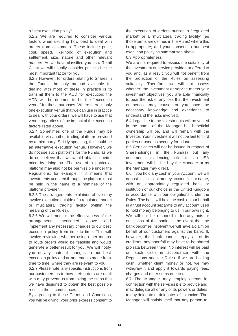a "best execution policy".

6.2.2 We are required to consider various factors when deciding how best to deal with orders from customers. These include price, cost, speed, likelihood of execution and settlement, size, nature and other relevant matters. As we have classified you as a Retail Client we will usually consider price to be the most important factor for you.

6.2.3 However, for orders relating to Shares in the Funds, the only method available for dealing with most of these in practice is to transmit them to the ACD for execution: the ACD will be deemed to be the "execution venue" for these purposes. Where there is only one execution venue that we can use in practice to deal with your orders, we will have to use that venue regardless of the impact of the execution factors listed above.

6.2.4 Sometimes one of the Funds may be available via another trading platform provided by a third party. Strictly speaking, this could be an alternative execution venue. However, we do not use such platforms for the Funds, as we do not believe that we would obtain a better price by doing so. The use of a particular platform may also not be permissible under the Regulations; for example, if it means that investments acquired through the platform must be held in the name of a nominee of the platform provider.

6.2.5 The arrangements explained above may involve execution outside of a regulated market or multilateral trading facility (within the meaning of the Rules).

6.2.6 We will monitor the effectiveness of the arrangements mentioned above and implement any necessary changes to our best execution policy from time to time. This will involve reviewing whether using other means to route orders would be feasible and would generate a better result for you. We will notify you of any material changes to our best execution policy and arrangements made from time to time, where they are relevant to you.

6.2.7 Please note, any specific instructions from our customers as to how their orders are dealt with may prevent us from taking the steps that we have designed to obtain the best possible result in the circumstances.

By agreeing to these Terms and Conditions, you will be giving: your prior express consent to

the execution of orders outside a "regulated market" or a "multilateral trading facility" (as those terms are defined in the Rules) where this is appropriate; and your consent to our best execution policy as summarised above.

6.3 Appropriateness

We are not required to assess the suitability of the investment or service provided or offered to you and, as a result, you will not benefit from the protection of the Rules on assessing suitability. Therefore, we will not assess whether: the investment or service meets your investment objectives; you are able financially to bear the risk of any loss that the investment or service may cause; or you have the necessary knowledge and experience to understand the risks involved.

6.4 Legal title to the Investments will be vested in the name of the Manager but beneficial ownership will be, and will remain with the Investor. Your investment will not be lent to third parties or used as security for a loan.

6.5 Certificates will not be issued in respect of Shareholdings in the Fund(s) but any documents evidencing title to an ISA Investment will be held by the Manager or as the Manager may direct.

6.6 If you hold any cash in your Account, we will deposit it in a client money account in our name, with an appropriately regulated bank or institution of our choice in the United Kingdom in accordance with our obligations under the Rules. The bank will hold the cash on our behalf in a trust account separate to any account used to hold money belonging to us in our own right. We will not be responsible for any acts or omissions of the bank. In the event that the bank becomes insolvent we will have a claim on behalf of our customers against the bank. If, however, the bank cannot repay all of its creditors, any shortfall may have to be shared pro rata between them. No interest will be paid on such cash in accordance with the Regulations and the Rules. If we are holding cash, whether client money or not, we may withdraw it and apply it towards paying fees, charges and other sums due to us.

6.7 The Manager may employ agents in connection with the services it is to provide and may delegate all or any of its powers or duties to any delegate or delegates of its choice. The Manager will satisfy itself that any person to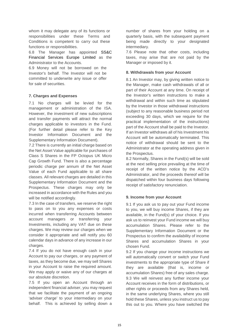whom it may delegate any of its functions or responsibilities under these Terms and Conditions is competent to carry out these functions or responsibilities.

6.8 The Manager has appointed SS&C Financial Services Europe Limited as the Administrator to the Accounts.

6.9 Money will not be borrowed on the Investor's behalf. The Investor will not be committed to underwrite any issue or offer for sale of securities.

# **7. Charges and Expenses**

7.1 No charges will be levied for the management or administration of the ISA. However, the investment of new subscriptions and transfer payments will attract the normal charges applicable to investors in the Fund. (For further detail please refer to the Key Investor Information Document and the Supplementary Information Document).

7.2 There is currently an initial charge based on the Net Asset Value applicable for purchases of Class S Shares in the FP Octopus UK Micro Cap Growth Fund. There is also a percentage periodic charge per annum of the Net Asset Value of each Fund applicable to all share classes. All relevant charges are detailed in this Supplementary Information Document and the Prospectus. These charges may only be increased in accordance with the Rules and you will be notified accordingly.

7.3 In the case of transfers, we reserve the right to pass on to you any expenses or costs incurred when transferring Accounts between account managers or transferring your Investments, including any VAT due on these charges. We may review our charges when we consider it appropriate and will notify you 60 calendar days in advance of any increase in our charges.

7.4 If you do not have enough cash in your Account to pay our charges, or any payment of taxes, as they become due, we may sell Shares in your Account to raise the required amount. We may apply or waive any of our charges at our absolute discretion.

7.5 If you open an Account through an independent financial adviser, you may request that we facilitate the payment of an ongoing 'adviser charge' to your intermediary on your behalf. This is achieved by selling down a

number of shares from your holding on a quarterly basis, with the subsequent payment being made directly to your designated intermediary.

7.6 Please note that other costs, including taxes, may arise that are not paid by the Manager or imposed by it.

## **8. Withdrawals from your Account**

8.1 An Investor may, by giving written notice to the Manager, make cash withdrawals of all or part of their Account at any time. On receipt of the Investor's written instructions to make a withdrawal and within such time as stipulated by the Investor in those withdrawal instructions (subject to any reasonable business period not exceeding 30 days, which we require for the practical implementation of the instructions) part of the Account shall be paid to the Investor. If an Investor withdraws all of his Investment his Account will be automatically terminated. This notice of withdrawal should be sent to the Administrator at the operating address given in the Prospectus.

8.2 Normally, Shares in the Fund(s) will be sold at the next selling price prevailing at the time of receipt of the written notice by the ACD's Administrator, and the proceeds thereof will be dispatched within four business days following receipt of satisfactory renunciation.

## **9. Income from your Account**

9.1 If you ask us to pay out your Fund income to you, we will buy income Shares, if they are available, in the Fund(s) of your choice. If you ask us to reinvest your Fund income we will buy accumulation Shares. Please refer to the Supplementary Information Document or the Prospectus to confirm the availability of income Shares and accumulation Shares in your chosen Fund.

9.2 If you change your income instructions we will automatically convert or switch your Fund investments to the appropriate type of Share if they are available (that is, income or accumulation Shares) free of any sales charge. 9.3 We will reinvest any further income your Account receives in the form of distributions, or other rights or proceeds from any Shares held, in the same underlying Shares, where you still hold these Shares, unless you instruct us to pay this out to you. Where you have switched the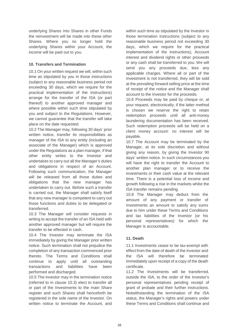underlying Shares into Shares in other Funds the reinvestment will be made into these other Shares. Where you no longer hold the underlying Shares within your Account, the income will be paid out to you.

# **10. Transfers and Termination**

10.1 On your written request we will, within such time as stipulated by you in those instructions (subject to any reasonable business period not exceeding 30 days, which we require for the practical implementation of the instructions) arrange for the transfer of the ISA (or part thereof) to another approved manager and where possible within such time stipulated by you and subject to the Regulations. However, we cannot guarantee that the transfer will take place on the date requested.

10.2 The Manager may, following 30 days' prior written notice, transfer its responsibilities as manager of the ISA to any entity (including an associate of the Manager) which is approved under the Regulations as a plan manager, if that other entity writes to the Investor and undertakes to carry out all the Manager's duties and obligations in respect of an Account. Following such communication, the Manager will be released from all those duties and obligations that the new manager has undertaken to carry out. Before such a transfer is carried out, the Manager shall satisfy itself that any new manager is competent to carry out those functions and duties to be delegated or transferred.

10.3 The Manager will consider requests in writing to accept the transfer of an ISA held with another approved manager but will require the transfer to be effected in cash.

10.4 The Investor may terminate the ISA immediately by giving the Manager prior written notice. Such termination shall not prejudice the completion of any transaction commenced prior thereto. The Terms and Conditions shall continue to apply until all outstanding transactions and liabilities have been performed and discharged.

10.5 The Investor may in the termination notice (referred to in clause 10.3) elect to transfer all or part of the Investments to the main Share register and such Shares shall henceforth be registered in the sole name of the Investor. On written notice to terminate the Account, and

within such time as stipulated by the Investor in those termination instructions (subject to any reasonable business period not exceeding 30 days, which we require for the practical implementation of the instructions), Account interest and dividend rights or other proceeds or any cash shall be transferred to you. We will send you any proceeds due, less any applicable charges. Where all or part of the Investment is not transferred, they will be sold at the prevailing forward selling price at the time of receipt of the notice and the Manager shall account to the Investor for the proceeds.

10.6 Proceeds may be paid by cheque or, at your request, electronically; if the latter method is chosen we reserve the right to retain redemption proceeds until all anti-money laundering documentation has been received. Such redemption proceeds will be held on a client money account: no interest will be payable.

10.7 The Account may be terminated by the Manager, at its sole discretion and without giving any reason, by giving the Investor 90 days' written notice. In such circumstances you will have the right to transfer the Account to another plan manager or to receive the investments or their cash value at the relevant time. There is a potential loss of income and growth following a rise in the markets whilst the ISA transfer remains pending.

10.8 The Manager may deduct from the amount of any payment or transfer of Investments an amount to satisfy any sums due to him under these Terms and Conditions and tax liabilities of the Investor (or his personal representatives) for which the Manager is accountable.

# **11. Death**

11.1 Investments cease to be tax-exempt with effect from the date of death of the Investor and the ISA will therefore be terminated immediately upon receipt of a copy of the death certificate.

11.2 The Investments will be transferred, outside the ISA, to the order of the Investor's personal representatives pending receipt of grant of probate and their further instructions. Notwithstanding the termination of the ISA status, the Manager's rights and powers under these Terms and Conditions shall continue and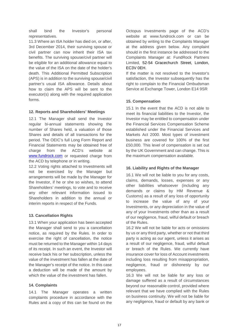shall bind the Investor's personal representatives.

11.3 Where an ISA holder has died on, or after, 3rd December 2014, their surviving spouse or civil partner can now inherit their ISA tax benefits. The surviving spouse/civil partner will be eligible for an additional allowance equal to the value of the ISA on the date of the holder's death. This Additional Permitted Subscription (APS) is in addition to the surviving spouse/civil partner's usual ISA allowance. Details about how to claim the APS will be sent to the executor(s) along with the required application forms.

# **12. Reports and Shareholders' Meetings**

12.1 The Manager shall send the Investor regular bi-annual statements showing the number of Shares held, a valuation of those Shares and details of all transactions for the period. The OEIC's full Long Form Report and Financial Statements may be obtained free of charge from the ACD's website at [www.fundrock.com](http://www.fundrock.com/) or requested charge from the ACD by telephone or in writing.

12.2 Voting rights attached to Investments will not be exercised by the Manager but arrangements will be made by the Manager for the Investor, if he or she so wishes, to attend Shareholders' meetings, to vote and to receive any other relevant information issued to Shareholders in addition to the annual or interim reports in respect of the Funds.

# **13. Cancellation Rights**

13.1 When your application has been accepted the Manager shall send to you a cancellation notice, as required by the Rules. In order to exercise the right of cancellation, the notice must be returned to the Manager within 14 days of its receipt. In such an event, the Investor will receive back his or her subscription, unless the value of the investment has fallen at the date of the Manager's receipt of the notice. In this case a deduction will be made of the amount by which the value of the investment has fallen.

## **14. Complaints**

14.1 The Manager operates a written complaints procedure in accordance with the Rules and a copy of this can be found on the

Octopus Investments page of the ACD's website at www.fundrock.com or can be obtained by writing to the Complaints Manager at the address given below. Any complaint should in the first instance be addressed to the Complaints Manager at: FundRock Partners Limited, 52-54 Gracechurch Street, London, EC3V 0EH.

If the matter is not resolved to the Investor's satisfaction, the Investor subsequently has the right to complain to the Financial Ombudsman Service at Exchange Tower, London E14 9SR

# **15. Compensation**

15.1 In the event that the ACD is not able to meet its financial liabilities to the Investor, the Investor may be entitled to compensation under the Financial Services Compensation Scheme established under the Financial Services and Markets Act 2000. Most types of investment business are covered for 100% of the first £50,000. This level of compensation is set out by the UK Government and can change. This is the maximum compensation available.

## **16. Liability and Rights of the Manager**

16.1 We will not be liable to you for any costs, claims, demands, losses, expenses or any other liabilities whatsoever (including any demands or claims by HM Revenue & Customs) as a result of any loss of opportunity to increase the value of any of your Investments, or any depreciation in the value of any of your Investments other than as a result of our negligence, fraud, wilful default or breach of the Rules.

16.2 We will not be liable for acts or omissions by us or any third party, whether or not that third party is acting as our agent, unless it arises as a result of our negligence, fraud, wilful default or breach of the Rules. We currently have insurance cover for loss of Account investments including loss resulting from misappropriation, negligence, fraud or dishonesty by our employees.

16.3 We will not be liable for any loss or damage suffered as a result of circumstances beyond our reasonable control, provided where relevant that we have complied with the Rules on business continuity. We will not be liable for any negligence, fraud or default by any bank or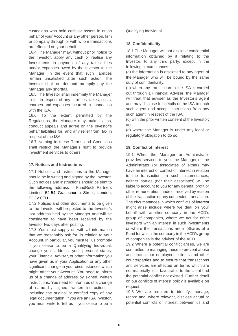custodians who hold cash or assets in or on behalf of your Account or any other person, firm or company through or with whom transactions are effected on your behalf.

16.4 The Manager may, without prior notice to the Investor, apply any cash or realise any Investments in payment of any taxes, fees and/or expenses owed by the Investor to the Manager. In the event that such liabilities remain unsatisfied after such action, the Investor shall on demand promptly pay the Manager any shortfall.

16.5 The Investor shall indemnify the Manager in full in respect of any liabilities, taxes, costs, charges and expenses incurred in connection with the ISA.

16.6 To the extent permitted by the Regulations, the Manager may make claims, conduct appeals and agree on the Investor's behalf liabilities for, and any relief from, tax in respect of the ISA.

16.7 Nothing in these Terms and Conditions shall restrict the Manager's right to provide investment services to others.

# **17. Notices and Instructions**

17.1 Notices and instructions to the Manager should be in writing and signed by the Investor. Such notices and instructions should be sent to the following address – FundRock Partners Limited, 52-54 Gracechurch Street, London, EC3V 0EH.

17.2 Notices and other documents to be given to the Investor will be posted to the Investor's last address held by the Manager and will be considered to have been received by the Investor two days after posting.

17.3 You must supply us with all information that we reasonably ask for, in relation to your Account. In particular, you must tell us promptly if you cease to be a Qualifying Individual, change your address, your personal status, your Financial Adviser, or other information you have given us in your Application or any other significant change in your circumstances which might affect your Account. You need to inform us of a change of address by signed, written instructions. You need to inform us of a change of name by signed, written instructions – including the original or certified copy of any legal documentation. If you are an ISA investor, you must write to tell us if you cease to be a Qualifying Individual.

# **18. Confidentiality**

18.1 The Manager will not disclose confidential information obtained by it relating to the Investor, to any third party, except in the following circumstances:

(a) the information is disclosed to any agent of the Manager who will be bound by the same duty of confidentiality;

(b) when any transaction in the ISA is carried out through a Financial Adviser, the Manager will treat that adviser as the Investor's agent and may disclose full details of the ISA to each such agent and accept instructions from any such agent in respect of the ISA;

(c) with the prior written consent of the Investor; and

(d) where the Manager is under any legal or regulatory obligation to do so.

# **19. Conflict of Interest**

19.1 When the Manager or Administrator provides services to you, the Manager or the Administrator (or associates of either) may have an interest or conflict of interest in relation to the transaction. In such circumstances, neither parties (nor their associates) will be liable to account to you for any benefit, profit or other remuneration made or received by reason of the transaction or any connected transaction. The circumstances in which conflicts of interest might arise include where we deal on your behalf with another company in the ACD's group of companies, where we act for other investors with an interest in such investments or where the transactions are in Shares of a Fund for which the company in the ACD's group of companies is the adviser of the ACD.

19.2 Where a potential conflict arises, we are committed to managing these to prevent abuse and protect our employees, clients and other counterparties and to ensure that transactions and services are effected on terms which are not materially less favourable to the client had the potential conflict not existed. Further detail on our conflicts of interest policy is available on request.

19.3 We are required to identify, manage, record and, where relevant, disclose actual or potential conflicts of interest between us and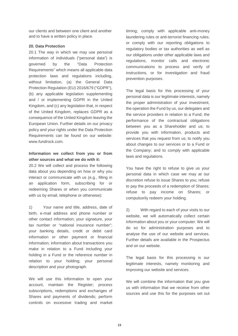our clients and between one client and another and to have a written policy in place.

## **20. Data Protection**

20.1 The way in which we may use personal information of individuals ("personal data") is governed by the "Data Protection Requirements" which means all applicable data protection laws and regulations including, without limitation, (a) the General Data Protection Regulation (EU) 2016/679 ("GDPR"), (b) any applicable legislation supplementing and / or implementing GDPR in the United Kingdom, and (c) any legislation that, in respect of the United Kingdom, replaces GDPR as a consequence of the United Kingdom leaving the European Union. Further details on our privacy policy and your rights under the Data Protection Requirements can be found on our website: www.fundrock.com.

# **Information we collect from you or from other sources and what we do with it:**

20.2 We will collect and process the following data about you depending on how or why you interact or communicate with us (e.g., filling in an application form, subscribing for or redeeming Shares or when you communicate with us by email, telephone or otherwise):

1) Your name and title, address, date of birth, e-mail address and phone number or other contact information; your signature, your tax number or "national insurance number"; your banking details, credit or debit card information or other payment or financial information; information about transactions you make in relation to a Fund including your holding in a Fund or the reference number in relation to your holding; your personal description and your photograph.

We will use this information to open your account, maintain the Register; process subscriptions, redemptions and exchanges of Shares and payments of dividends; perform controls on excessive trading and market

timing; comply with applicable anti-money laundering rules or anti-terrorist financing rules; or comply with our reporting obligations to regulatory bodies or tax authorities as well as our obligations under other applicable laws and regulations, monitor calls and electronic communications to process and verify of instructions, or for investigation and fraud prevention purposes.

The legal basis for this processing of your personal data is our legitimate interests, namely the proper administration of your investment, the operation the Fund by us, our delegates and the service providers in relation to a Fund; the performance of the contractual obligations between you as a Shareholder and us; to provide you with information, products and services that you request from us; to notify you about changes to our services or to a Fund or the Company; and to comply with applicable laws and regulations.

You have the right to refuse to give us your personal data in which case we may at our discretion refuse to issue Shares to you; refuse to pay the proceeds of a redemption of Shares; refuse to pay income on Shares; or compulsorily redeem your holding.

2) With regard to each of your visits to our website, we will automatically collect certain information about you or your computer. We will do so for administration purposes and to analyse the use of our website and services. Further details are available in the Prospectus and on our website.

The legal basis for this processing is our legitimate interests, namely monitoring and improving our website and services.

We will combine the information that you give us with information that we receive from other sources and use this for the purposes set out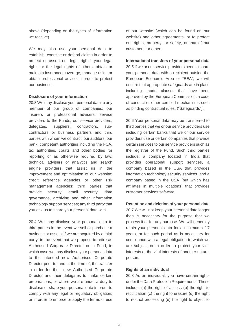above (depending on the types of information we receive).

We may also use your personal data to establish, exercise or defend claims in order to protect or assert our legal rights, your legal rights or the legal rights of others, obtain or maintain insurance coverage, manage risks, or obtain professional advice in order to protect our business.

#### **Disclosure of your information**

20.3 We may disclose your personal data to any member of our group of companies; our insurers or professional advisers; service providers to the Funds; our service providers, delegates, suppliers, contractors, subcontractors or business partners and third parties with whom we contract; our auditors, our bank, competent authorities including the FCA, tax authorities, courts and other bodies for reporting or as otherwise required by law; technical advisers or analytics and search engine providers that assist us in the improvement and optimisation of our website; credit reference agencies or other risk management agencies; third parties that provide security, email security, data governance, archiving and other information technology support services; any third party that you ask us to share your personal data with.

20.4 We may disclose your personal data to third parties in the event we sell or purchase a business or assets; if we are acquired by a third party; in the event that we propose to retire as Authorised Corporate Director on a Fund, in which case we may disclose your personal data to the intended new Authorised Corporate Director prior to, and at the time of, the transfer in order for the new Authorised Corporate Director and their delegates to make certain preparations; or where we are under a duty to disclose or share your personal data in order to comply with any legal or regulatory obligation; or in order to enforce or apply the terms of use

of our website (which can be found on our website) and other agreements; or to protect our rights, property, or safety, or that of our customers, or others.

#### **International transfers of your personal data**

20.5 If we or our service providers need to share your personal data with a recipient outside the European Economic Area or "EEA", we will ensure that appropriate safeguards are in place including: model clauses that have been approved by the European Commission; a code of conduct or other certified mechanisms such as binding contractual rules. ("Safeguards").

20.6 Your personal data may be transferred to third parties that we or our service providers use including certain banks that we or our service providers use or certain companies that provide certain services to our service providers such as the registrar of the Fund. Such third parties include: a company located in India that provides operational support services, a company based in the USA that provides information technology security services, and a company based in the USA (but which has affiliates in multiple locations) that provides customer services software.

## **Retention and deletion of your personal data**

20.7 We will not keep your personal data longer than is necessary for the purpose that we process it or for any purpose. We will generally retain your personal data for a minimum of 7 years, or for such period as is necessary for compliance with a legal obligation to which we are subject, or in order to protect your vital interests or the vital interests of another natural person.

## **Rights of an individual**

20.8 As an individual, you have certain rights under the Data Protection Requirements. These include: (a) the right of access (b) the right to rectification (c) the right to erasure (d) the right to restrict processing (e) the right to object to